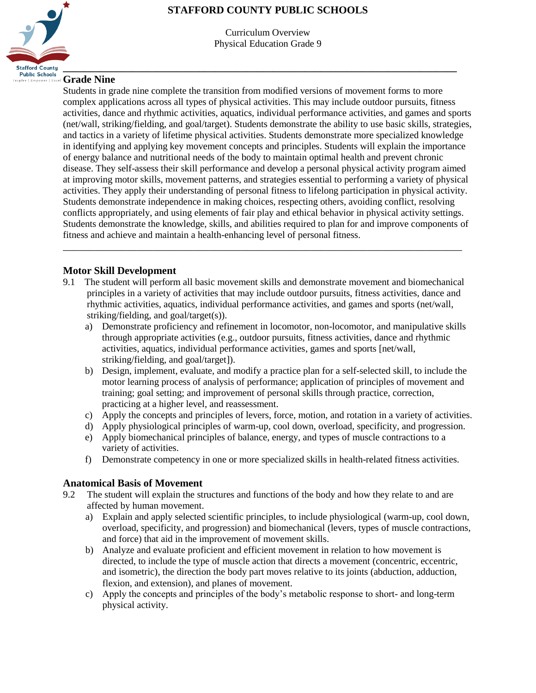# **\_\_\_\_\_\_\_\_\_\_\_\_\_\_\_\_\_\_\_\_\_\_\_\_\_\_\_\_\_\_\_\_\_\_\_\_\_\_\_\_\_\_\_\_\_\_\_\_\_\_\_\_\_\_\_\_\_\_\_\_\_\_\_\_\_\_\_\_\_\_\_\_\_\_\_ Stafford County Public Schools**

## **STAFFORD COUNTY PUBLIC SCHOOLS**

Curriculum Overview Physical Education Grade 9

## **Grade Nine**

Students in grade nine complete the transition from modified versions of movement forms to more complex applications across all types of physical activities. This may include outdoor pursuits, fitness activities, dance and rhythmic activities, aquatics, individual performance activities, and games and sports (net/wall, striking/fielding, and goal/target). Students demonstrate the ability to use basic skills, strategies, and tactics in a variety of lifetime physical activities. Students demonstrate more specialized knowledge in identifying and applying key movement concepts and principles. Students will explain the importance of energy balance and nutritional needs of the body to maintain optimal health and prevent chronic disease. They self-assess their skill performance and develop a personal physical activity program aimed at improving motor skills, movement patterns, and strategies essential to performing a variety of physical activities. They apply their understanding of personal fitness to lifelong participation in physical activity. Students demonstrate independence in making choices, respecting others, avoiding conflict, resolving conflicts appropriately, and using elements of fair play and ethical behavior in physical activity settings. Students demonstrate the knowledge, skills, and abilities required to plan for and improve components of fitness and achieve and maintain a health-enhancing level of personal fitness.

### **Motor Skill Development**

9.1 The student will perform all basic movement skills and demonstrate movement and biomechanical principles in a variety of activities that may include outdoor pursuits, fitness activities, dance and rhythmic activities, aquatics, individual performance activities, and games and sports (net/wall, striking/fielding, and goal/target(s)).

\_\_\_\_\_\_\_\_\_\_\_\_\_\_\_\_\_\_\_\_\_\_\_\_\_\_\_\_\_\_\_\_\_\_\_\_\_\_\_\_\_\_\_\_\_\_\_\_\_\_\_\_\_\_\_\_\_\_\_\_\_\_\_\_\_\_\_\_\_\_\_\_\_\_\_\_

- a) Demonstrate proficiency and refinement in locomotor, non-locomotor, and manipulative skills through appropriate activities (e.g., outdoor pursuits, fitness activities, dance and rhythmic activities, aquatics, individual performance activities, games and sports [net/wall, striking/fielding, and goal/target]).
- b) Design, implement, evaluate, and modify a practice plan for a self-selected skill, to include the motor learning process of analysis of performance; application of principles of movement and training; goal setting; and improvement of personal skills through practice, correction, practicing at a higher level, and reassessment.
- c) Apply the concepts and principles of levers, force, motion, and rotation in a variety of activities.
- d) Apply physiological principles of warm-up, cool down, overload, specificity, and progression.
- e) Apply biomechanical principles of balance, energy, and types of muscle contractions to a variety of activities.
- f) Demonstrate competency in one or more specialized skills in health-related fitness activities.

#### **Anatomical Basis of Movement**

- 9.2 The student will explain the structures and functions of the body and how they relate to and are affected by human movement.
	- a) Explain and apply selected scientific principles, to include physiological (warm-up, cool down, overload, specificity, and progression) and biomechanical (levers, types of muscle contractions, and force) that aid in the improvement of movement skills.
	- b) Analyze and evaluate proficient and efficient movement in relation to how movement is directed, to include the type of muscle action that directs a movement (concentric, eccentric, and isometric), the direction the body part moves relative to its joints (abduction, adduction, flexion, and extension), and planes of movement.
	- c) Apply the concepts and principles of the body's metabolic response to short- and long-term physical activity.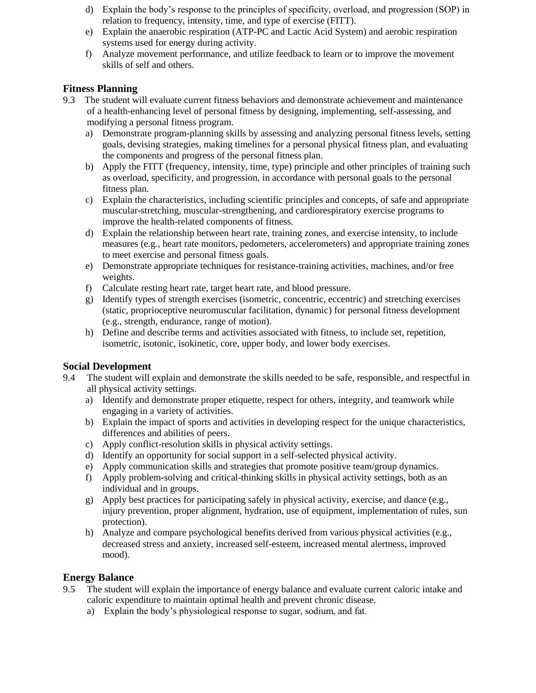- d) Explain the body's response to the principles of specificity, overload, and progression (SOP) in relation to frequency, intensity, time, and type of exercise (FITT).
- e) Explain the anaerobic respiration (ATP-PC and Lactic Acid System) and aerobic respiration systems used for energy during activity.
- f) Analyze movement performance, and utilize feedback to learn or to improve the movement skills of self and others.

#### **Fitness Planning**

- 9.3 The student will evaluate current fitness behaviors and demonstrate achievement and maintenance of a health-enhancing level of personal fitness by designing, implementing, self-assessing, and modifying a personal fitness program.
	- a) Demonstrate program-planning skills by assessing and analyzing personal fitness levels, setting goals, devising strategies, making timelines for a personal physical fitness plan, and evaluating the components and progress of the personal fitness plan.
	- b) Apply the FITT (frequency, intensity, time, type) principle and other principles of training such as overload, specificity, and progression, in accordance with personal goals to the personal fitness plan.
	- c) Explain the characteristics, including scientific principles and concepts, of safe and appropriate muscular-stretching, muscular-strengthening, and cardiorespiratory exercise programs to improve the health-related components of fitness.
	- d) Explain the relationship between heart rate, training zones, and exercise intensity, to include measures (e.g., heart rate monitors, pedometers, accelerometers) and appropriate training zones to meet exercise and personal fitness goals.
	- e) Demonstrate appropriate techniques for resistance-training activities, machines, and/or free weights.
	- f) Calculate resting heart rate, target heart rate, and blood pressure.
	- g) Identify types of strength exercises (isometric, concentric, eccentric) and stretching exercises (static, proprioceptive neuromuscular facilitation, dynamic) for personal fitness development (e.g., strength, endurance, range of motion).
	- h) Define and describe terms and activities associated with fitness, to include set, repetition, isometric, isotonic, isokinetic, core, upper body, and lower body exercises.

#### **Social Development**

- 9.4 The student will explain and demonstrate the skills needed to be safe, responsible, and respectful in all physical activity settings.
	- a) Identify and demonstrate proper etiquette, respect for others, integrity, and teamwork while engaging in a variety of activities.
	- b) Explain the impact of sports and activities in developing respect for the unique characteristics, differences and abilities of peers.
	- c) Apply conflict-resolution skills in physical activity settings.
	- d) Identify an opportunity for social support in a self-selected physical activity.
	- e) Apply communication skills and strategies that promote positive team/group dynamics.
	- f) Apply problem-solving and critical-thinking skills in physical activity settings, both as an individual and in groups.
	- g) Apply best practices for participating safely in physical activity, exercise, and dance (e.g., injury prevention, proper alignment, hydration, use of equipment, implementation of rules, sun protection).
	- h) Analyze and compare psychological benefits derived from various physical activities (e.g., decreased stress and anxiety, increased self-esteem, increased mental alertness, improved mood).

#### **Energy Balance**

- 9.5 The student will explain the importance of energy balance and evaluate current caloric intake and caloric expenditure to maintain optimal health and prevent chronic disease.
	- a) Explain the body's physiological response to sugar, sodium, and fat.